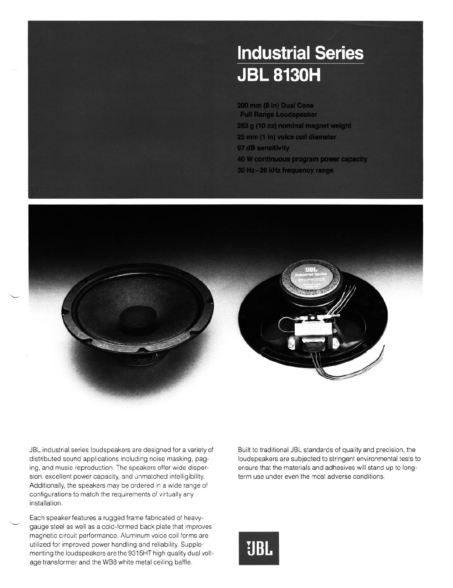## **Industrial Series JBL 8130H**

200 mm (8 in) Dual Cone **Full Range Loudspeaker** 283 g (10 oz) nominal magnet weight 25 mm (1 in) voice coil diameter 97 dB sensitivity 40 W continuous program power capacity 30 Hz-20 kHz frequency range



JBL industrial series loudspeakers are designed for a variety of distributed sound applications including noise masking, paging, and music reproduction. The speakers offer wide dispersion, excellent power capacity, and unmatched intelligibility. Additionally, the speakers may be ordered in a wide range of configurations to match the requirements of virtually any installation.

Each speaker features a rugged frame fabricated of heavygauge steel as well as a cold-formed back plate that improves magnetic circuit performance. Aluminum voice coil forms are utilized for improved power handling and reliability. Supplementing the loudspeakers are the 9315HT high quality dual voltage transformer and the WB8 white metal ceiling baffle.

L

Built to traditional JBL standards of quality and precision, the loudspeakers are subjected to stringent environmental tests to ensure that the materials and adhesives will stand up to longterm use under even the most adverse conditions.